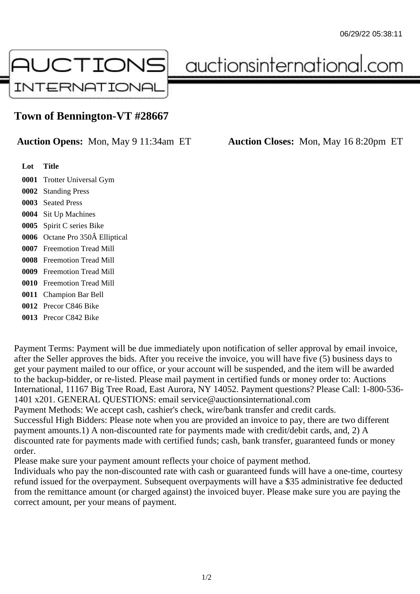

auctionsinternational.com

## **Town of Bennington-VT #28667**

**Auction Opens:** Mon, May 9 11:34am ET **Auction Closes:** Mon, May 16 8:20pm ET

| Lot  | <b>Title</b>                 |
|------|------------------------------|
| 0001 | <b>Trotter Universal Gym</b> |
| 0002 | <b>Standing Press</b>        |
| 0003 | <b>Seated Press</b>          |
| 0004 | <b>Sit Up Machines</b>       |
| 0005 | Spirit C series Bike         |
| 0006 | Octane Pro 350Â Elliptical   |
| 0007 | <b>Freemotion Tread Mill</b> |
| 0008 | <b>Freemotion Tread Mill</b> |
| 0009 | <b>Freemotion Tread Mill</b> |
| 0010 | <b>Freemotion Tread Mill</b> |
| 0011 | <b>Champion Bar Bell</b>     |
| 0012 | Precor C846 Bike             |
| 0013 | Precor C842 Bike             |

Payment Terms: Payment will be due immediately upon notification of seller approval by email invoice, after the Seller approves the bids. After you receive the invoice, you will have five (5) business days to get your payment mailed to our office, or your account will be suspended, and the item will be awarded to the backup-bidder, or re-listed. Please mail payment in certified funds or money order to: Auctions International, 11167 Big Tree Road, East Aurora, NY 14052. Payment questions? Please Call: 1-800-536- 1401 x201. GENERAL QUESTIONS: email service@auctionsinternational.com Payment Methods: We accept cash, cashier's check, wire/bank transfer and credit cards. Successful High Bidders: Please note when you are provided an invoice to pay, there are two different payment amounts.1) A non-discounted rate for payments made with credit/debit cards, and, 2) A discounted rate for payments made with certified funds; cash, bank transfer, guaranteed funds or money

order. Please make sure your payment amount reflects your choice of payment method.

Individuals who pay the non-discounted rate with cash or guaranteed funds will have a one-time, courtesy refund issued for the overpayment. Subsequent overpayments will have a \$35 administrative fee deducted from the remittance amount (or charged against) the invoiced buyer. Please make sure you are paying the correct amount, per your means of payment.